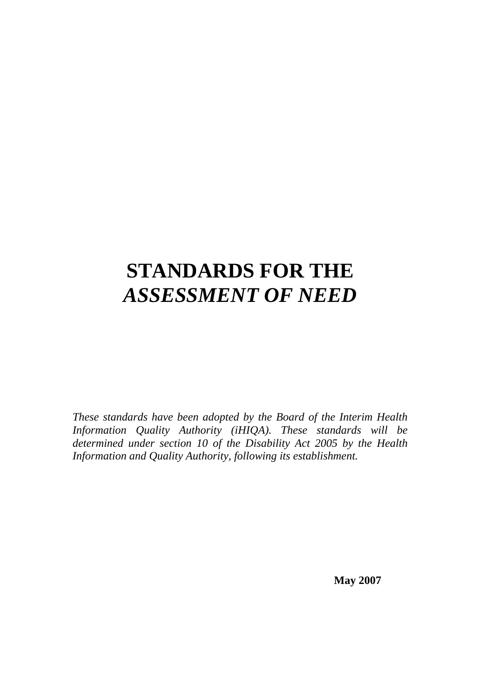# **STANDARDS FOR THE**  *ASSESSMENT OF NEED*

*These standards have been adopted by the Board of the Interim Health Information Quality Authority (iHIQA). These standards will be determined under section 10 of the Disability Act 2005 by the Health Information and Quality Authority, following its establishment.* 

**May 2007**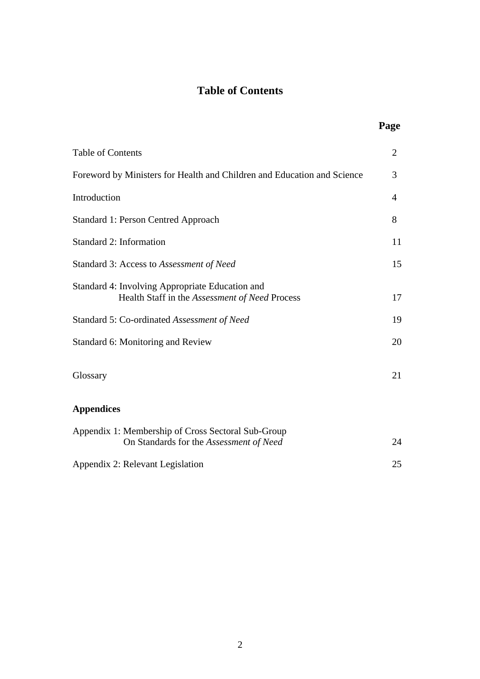# **Table of Contents**

*Page* 

| <b>Table of Contents</b>                                                                          | $\overline{2}$ |
|---------------------------------------------------------------------------------------------------|----------------|
| Foreword by Ministers for Health and Children and Education and Science                           | 3              |
| Introduction                                                                                      | $\overline{4}$ |
| <b>Standard 1: Person Centred Approach</b>                                                        | 8              |
| Standard 2: Information                                                                           | 11             |
| Standard 3: Access to Assessment of Need                                                          | 15             |
| Standard 4: Involving Appropriate Education and<br>Health Staff in the Assessment of Need Process | 17             |
| Standard 5: Co-ordinated Assessment of Need                                                       | 19             |
| Standard 6: Monitoring and Review                                                                 | 20             |
| Glossary                                                                                          | 21             |
| <b>Appendices</b>                                                                                 |                |
| Appendix 1: Membership of Cross Sectoral Sub-Group<br>On Standards for the Assessment of Need     | 24             |
| Appendix 2: Relevant Legislation                                                                  | 25             |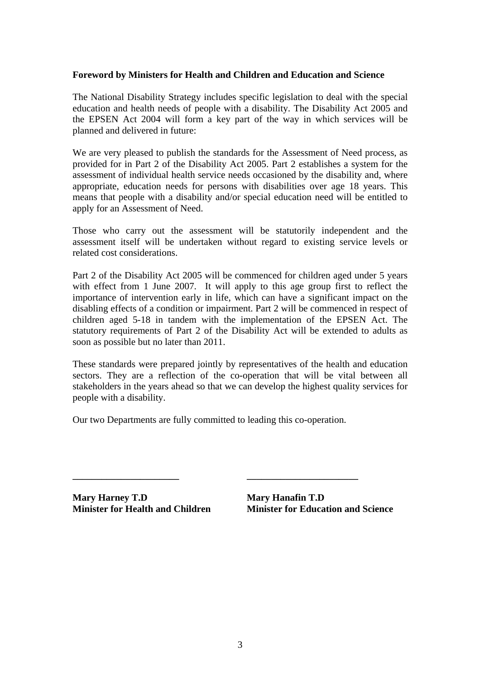### **Foreword by Ministers for Health and Children and Education and Science**

The National Disability Strategy includes specific legislation to deal with the special education and health needs of people with a disability. The Disability Act 2005 and the EPSEN Act 2004 will form a key part of the way in which services will be planned and delivered in future:

We are very pleased to publish the standards for the Assessment of Need process, as provided for in Part 2 of the Disability Act 2005. Part 2 establishes a system for the assessment of individual health service needs occasioned by the disability and, where appropriate, education needs for persons with disabilities over age 18 years. This means that people with a disability and/or special education need will be entitled to apply for an Assessment of Need.

Those who carry out the assessment will be statutorily independent and the assessment itself will be undertaken without regard to existing service levels or related cost considerations.

Part 2 of the Disability Act 2005 will be commenced for children aged under 5 years with effect from 1 June 2007. It will apply to this age group first to reflect the importance of intervention early in life, which can have a significant impact on the disabling effects of a condition or impairment. Part 2 will be commenced in respect of children aged 5-18 in tandem with the implementation of the EPSEN Act. The statutory requirements of Part 2 of the Disability Act will be extended to adults as soon as possible but no later than 2011.

These standards were prepared jointly by representatives of the health and education sectors. They are a reflection of the co-operation that will be vital between all stakeholders in the years ahead so that we can develop the highest quality services for people with a disability.

Our two Departments are fully committed to leading this co-operation.

**\_\_\_\_\_\_\_\_\_\_\_\_\_\_\_\_\_\_\_\_\_\_ \_\_\_\_\_\_\_\_\_\_\_\_\_\_\_\_\_\_\_\_\_\_\_** 

**Mary Harney T.D Mary Hanafin T.D** 

**Minister for Health and Children Minister for Education and Science**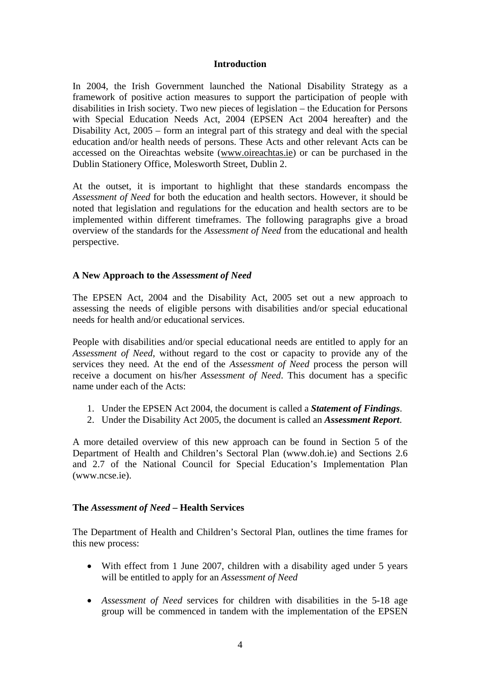#### **Introduction**

In 2004, the Irish Government launched the National Disability Strategy as a framework of positive action measures to support the participation of people with disabilities in Irish society. Two new pieces of legislation – the Education for Persons with Special Education Needs Act, 2004 (EPSEN Act 2004 hereafter) and the Disability Act, 2005 – form an integral part of this strategy and deal with the special education and/or health needs of persons. These Acts and other relevant Acts can be accessed on the Oireachtas website ([www.oireachtas.ie\)](http://www.oireachtas.ie/) or can be purchased in the Dublin Stationery Office, Molesworth Street, Dublin 2.

At the outset, it is important to highlight that these standards encompass the *Assessment of Need* for both the education and health sectors. However, it should be noted that legislation and regulations for the education and health sectors are to be implemented within different timeframes. The following paragraphs give a broad overview of the standards for the *Assessment of Need* from the educational and health perspective.

### **A New Approach to the** *Assessment of Need*

The EPSEN Act, 2004 and the Disability Act, 2005 set out a new approach to assessing the needs of eligible persons with disabilities and/or special educational needs for health and/or educational services.

People with disabilities and/or special educational needs are entitled to apply for an *Assessment of Need*, without regard to the cost or capacity to provide any of the services they need. At the end of the *Assessment of Need* process the person will receive a document on his/her *Assessment of Need*. This document has a specific name under each of the Acts:

- 1. Under the EPSEN Act 2004, the document is called a *Statement of Findings*.
- 2. Under the Disability Act 2005, the document is called an *Assessment Report*.

A more detailed overview of this new approach can be found in Section 5 of the Department of Health and Children's Sectoral Plan (www.doh.ie) and Sections 2.6 and 2.7 of the National Council for Special Education's Implementation Plan (www.ncse.ie).

### **The** *Assessment of Need* **– Health Services**

The Department of Health and Children's Sectoral Plan, outlines the time frames for this new process:

- With effect from 1 June 2007, children with a disability aged under 5 years will be entitled to apply for an *Assessment of Need*
- *Assessment of Need* services for children with disabilities in the 5-18 age group will be commenced in tandem with the implementation of the EPSEN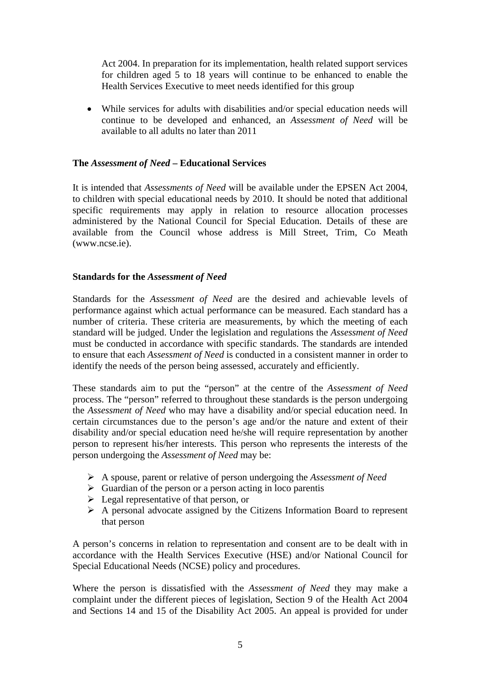Act 2004. In preparation for its implementation, health related support services for children aged 5 to 18 years will continue to be enhanced to enable the Health Services Executive to meet needs identified for this group

• While services for adults with disabilities and/or special education needs will continue to be developed and enhanced, an *Assessment of Need* will be available to all adults no later than 2011

### **The** *Assessment of Need* **– Educational Services**

It is intended that *Assessments of Need* will be available under the EPSEN Act 2004, to children with special educational needs by 2010. It should be noted that additional specific requirements may apply in relation to resource allocation processes administered by the National Council for Special Education. Details of these are available from the Council whose address is Mill Street, Trim, Co Meath (www.ncse.ie).

### **Standards for the** *Assessment of Need*

Standards for the *Assessment of Need* are the desired and achievable levels of performance against which actual performance can be measured. Each standard has a number of criteria. These criteria are measurements, by which the meeting of each standard will be judged. Under the legislation and regulations the *Assessment of Need* must be conducted in accordance with specific standards. The standards are intended to ensure that each *Assessment of Need* is conducted in a consistent manner in order to identify the needs of the person being assessed, accurately and efficiently.

These standards aim to put the "person" at the centre of the *Assessment of Need* process. The "person" referred to throughout these standards is the person undergoing the *Assessment of Need* who may have a disability and/or special education need. In certain circumstances due to the person's age and/or the nature and extent of their disability and/or special education need he/she will require representation by another person to represent his/her interests. This person who represents the interests of the person undergoing the *Assessment of Need* may be:

- ¾ A spouse, parent or relative of person undergoing the *Assessment of Need*
- $\triangleright$  Guardian of the person or a person acting in loco parentis
- $\triangleright$  Legal representative of that person, or
- $\triangleright$  A personal advocate assigned by the Citizens Information Board to represent that person

A person's concerns in relation to representation and consent are to be dealt with in accordance with the Health Services Executive (HSE) and/or National Council for Special Educational Needs (NCSE) policy and procedures.

Where the person is dissatisfied with the *Assessment of Need* they may make a complaint under the different pieces of legislation, Section 9 of the Health Act 2004 and Sections 14 and 15 of the Disability Act 2005. An appeal is provided for under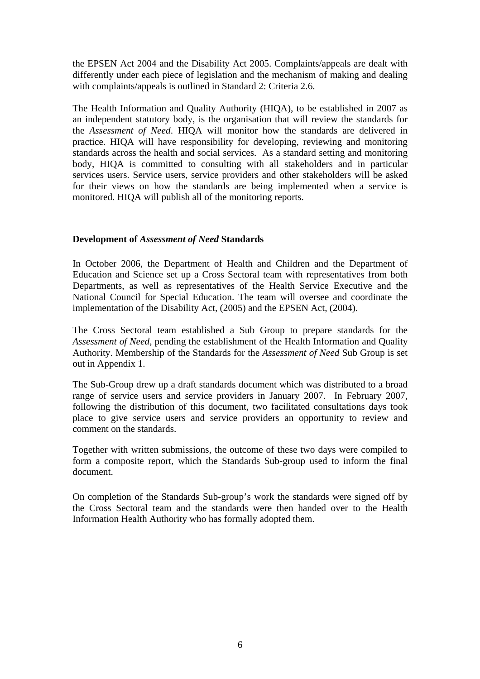the EPSEN Act 2004 and the Disability Act 2005. Complaints/appeals are dealt with differently under each piece of legislation and the mechanism of making and dealing with complaints/appeals is outlined in Standard 2: Criteria 2.6.

The Health Information and Quality Authority (HIQA), to be established in 2007 as an independent statutory body, is the organisation that will review the standards for the *Assessment of Need*. HIQA will monitor how the standards are delivered in practice. HIQA will have responsibility for developing, reviewing and monitoring standards across the health and social services. As a standard setting and monitoring body, HIQA is committed to consulting with all stakeholders and in particular services users. Service users, service providers and other stakeholders will be asked for their views on how the standards are being implemented when a service is monitored. HIQA will publish all of the monitoring reports.

### **Development of** *Assessment of Need* **Standards**

In October 2006, the Department of Health and Children and the Department of Education and Science set up a Cross Sectoral team with representatives from both Departments, as well as representatives of the Health Service Executive and the National Council for Special Education. The team will oversee and coordinate the implementation of the Disability Act, (2005) and the EPSEN Act, (2004).

The Cross Sectoral team established a Sub Group to prepare standards for the *Assessment of Need*, pending the establishment of the Health Information and Quality Authority. Membership of the Standards for the *Assessment of Need* Sub Group is set out in Appendix 1.

The Sub-Group drew up a draft standards document which was distributed to a broad range of service users and service providers in January 2007. In February 2007, following the distribution of this document, two facilitated consultations days took place to give service users and service providers an opportunity to review and comment on the standards.

Together with written submissions, the outcome of these two days were compiled to form a composite report, which the Standards Sub-group used to inform the final document.

On completion of the Standards Sub-group's work the standards were signed off by the Cross Sectoral team and the standards were then handed over to the Health Information Health Authority who has formally adopted them.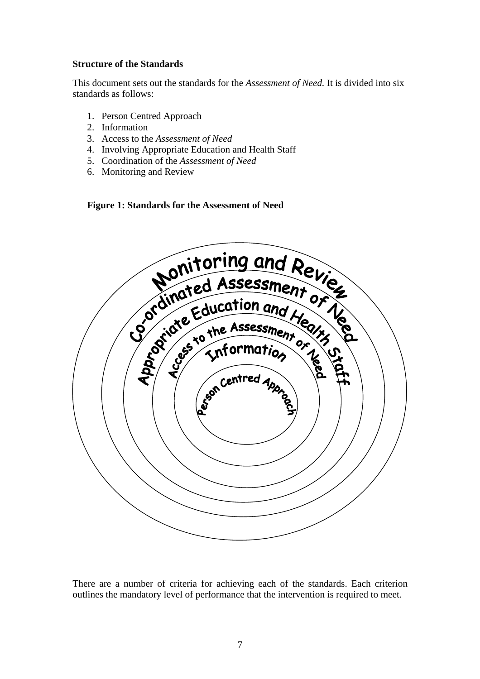### **Structure of the Standards**

This document sets out the standards for the *Assessment of Need.* It is divided into six standards as follows:

- 1. Person Centred Approach
- 2. Information
- 3. Access to the *Assessment of Need*
- 4. Involving Appropriate Education and Health Staff
- 5. Coordination of the *Assessment of Need*
- 6. Monitoring and Review

**Figure 1: Standards for the Assessment of Need** 



There are a number of criteria for achieving each of the standards. Each criterion outlines the mandatory level of performance that the intervention is required to meet.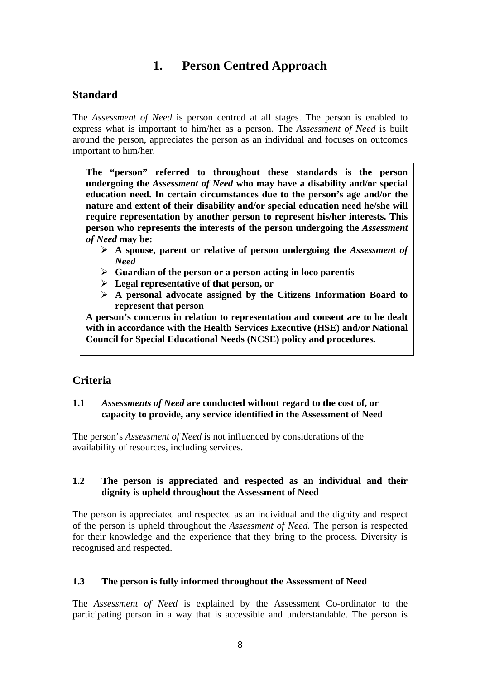# **1. Person Centred Approach**

### **Standard**

The *Assessment of Need* is person centred at all stages. The person is enabled to express what is important to him/her as a person. The *Assessment of Need* is built around the person, appreciates the person as an individual and focuses on outcomes important to him/her.

**The "person" referred to throughout these standards is the person undergoing the** *Assessment of Need* **who may have a disability and/or special education need. In certain circumstances due to the person's age and/or the nature and extent of their disability and/or special education need he/she will require representation by another person to represent his/her interests. This person who represents the interests of the person undergoing the** *Assessment of Need* **may be:** 

- ¾ **A spouse, parent or relative of person undergoing the** *Assessment of Need*
- ¾ **Guardian of the person or a person acting in loco parentis**
- ¾ **Legal representative of that person, or**
- ¾ **A personal advocate assigned by the Citizens Information Board to represent that person**

**A person's concerns in relation to representation and consent are to be dealt with in accordance with the Health Services Executive (HSE) and/or National Council for Special Educational Needs (NCSE) policy and procedures.** 

### **Criteria**

### **1.1** *Assessments of Need* **are conducted without regard to the cost of, or capacity to provide, any service identified in the Assessment of Need**

The person's *Assessment of Need* is not influenced by considerations of the availability of resources, including services.

### **1.2 The person is appreciated and respected as an individual and their dignity is upheld throughout the Assessment of Need**

The person is appreciated and respected as an individual and the dignity and respect of the person is upheld throughout the *Assessment of Need.* The person is respected for their knowledge and the experience that they bring to the process. Diversity is recognised and respected.

### **1.3 The person is fully informed throughout the Assessment of Need**

The *Assessment of Need* is explained by the Assessment Co-ordinator to the participating person in a way that is accessible and understandable. The person is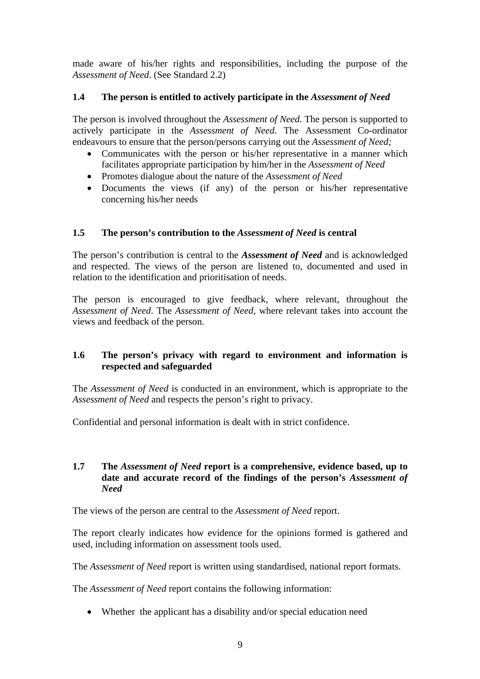made aware of his/her rights and responsibilities, including the purpose of the *Assessment of Need*. (See Standard 2.2)

### **1.4 The person is entitled to actively participate in the** *Assessment of Need*

The person is involved throughout the *Assessment of Need.* The person is supported to actively participate in the *Assessment of Need*. The Assessment Co-ordinator endeavours to ensure that the person/persons carrying out the *Assessment of Need;*

- Communicates with the person or his/her representative in a manner which facilitates appropriate participation by him/her in the *Assessment of Need*
- Promotes dialogue about the nature of the *Assessment of Need*
- Documents the views (if any) of the person or his/her representative concerning his/her needs

### **1.5 The person's contribution to the** *Assessment of Need* **is central**

The person's contribution is central to the *Assessment of Need* and is acknowledged and respected. The views of the person are listened to, documented and used in relation to the identification and prioritisation of needs.

The person is encouraged to give feedback, where relevant, throughout the *Assessment of Need*. The *Assessment of Need*, where relevant takes into account the views and feedback of the person.

### **1.6 The person's privacy with regard to environment and information is respected and safeguarded**

The *Assessment of Need* is conducted in an environment, which is appropriate to the *Assessment of Need* and respects the person's right to privacy.

Confidential and personal information is dealt with in strict confidence.

### **1.7 The** *Assessment of Need* **report is a comprehensive, evidence based, up to date and accurate record of the findings of the person's** *Assessment of Need*

The views of the person are central to the *Assessment of Need* report.

The report clearly indicates how evidence for the opinions formed is gathered and used, including information on assessment tools used.

The *Assessment of Need* report is written using standardised, national report formats.

The *Assessment of Need* report contains the following information:

• Whether the applicant has a disability and/or special education need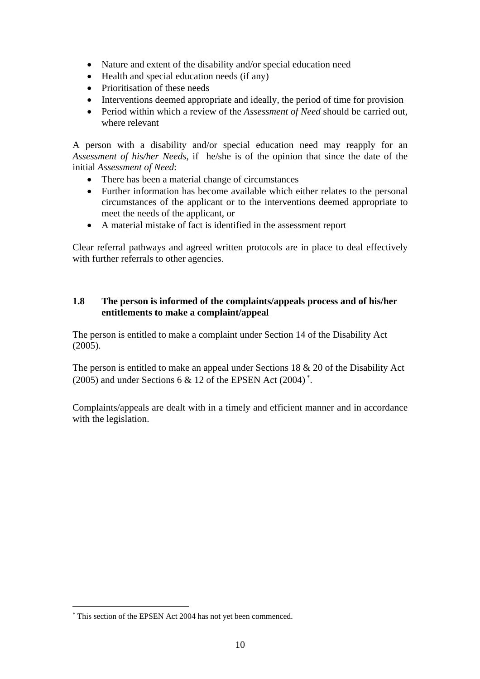- Nature and extent of the disability and/or special education need
- Health and special education needs (if any)
- Prioritisation of these needs
- Interventions deemed appropriate and ideally, the period of time for provision
- Period within which a review of the *Assessment of Need* should be carried out, where relevant

A person with a disability and/or special education need may reapply for an *Assessment of his/her Needs*, if he/she is of the opinion that since the date of the initial *Assessment of Need*:

- There has been a material change of circumstances
- Further information has become available which either relates to the personal circumstances of the applicant or to the interventions deemed appropriate to meet the needs of the applicant, or
- A material mistake of fact is identified in the assessment report

Clear referral pathways and agreed written protocols are in place to deal effectively with further referrals to other agencies.

### **1.8 The person is informed of the complaints/appeals process and of his/her entitlements to make a complaint/appeal**

The person is entitled to make a complaint under Section 14 of the Disability Act (2005).

The person is entitled to make an appeal under Sections 18 & 20 of the Disability Act (2005) and under Sections 6 & 12 of the EPSEN Act (2004)<sup>\*</sup>.

Complaints/appeals are dealt with in a timely and efficient manner and in accordance with the legislation.

 $\overline{a}$ 

<span id="page-9-0"></span><sup>∗</sup> This section of the EPSEN Act 2004 has not yet been commenced.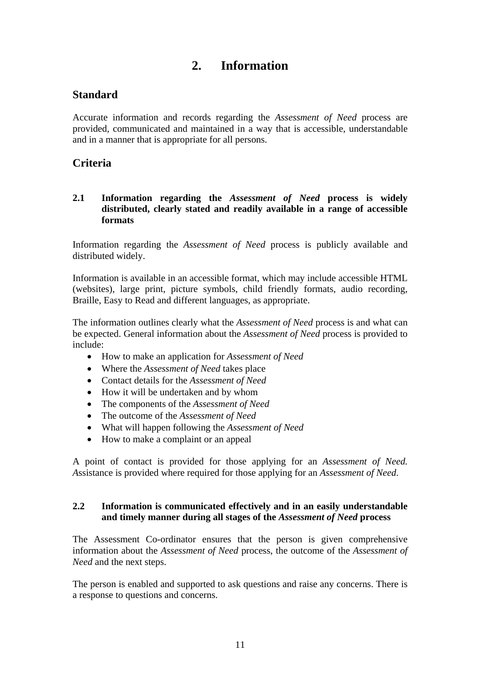# **2. Information**

### **Standard**

Accurate information and records regarding the *Assessment of Need* process are provided, communicated and maintained in a way that is accessible, understandable and in a manner that is appropriate for all persons.

### **Criteria**

### **2.1 Information regarding the** *Assessment of Need* **process is widely distributed, clearly stated and readily available in a range of accessible formats**

Information regarding the *Assessment of Need* process is publicly available and distributed widely.

Information is available in an accessible format, which may include accessible HTML (websites), large print, picture symbols, child friendly formats, audio recording, Braille, Easy to Read and different languages, as appropriate.

The information outlines clearly what the *Assessment of Need* process is and what can be expected. General information about the *Assessment of Need* process is provided to include:

- How to make an application for *Assessment of Need*
- Where the *Assessment of Need* takes place
- Contact details for the *Assessment of Need*
- How it will be undertaken and by whom
- The components of the *Assessment of Need*
- The outcome of the *Assessment of Need*
- What will happen following the *Assessment of Need*
- How to make a complaint or an appeal

A point of contact is provided for those applying for an *Assessment of Need. A*ssistance is provided where required for those applying for an *Assessment of Need*.

### **2.2 Information is communicated effectively and in an easily understandable and timely manner during all stages of the** *Assessment of Need* **process**

The Assessment Co-ordinator ensures that the person is given comprehensive information about the *Assessment of Need* process, the outcome of the *Assessment of Need* and the next steps.

The person is enabled and supported to ask questions and raise any concerns. There is a response to questions and concerns.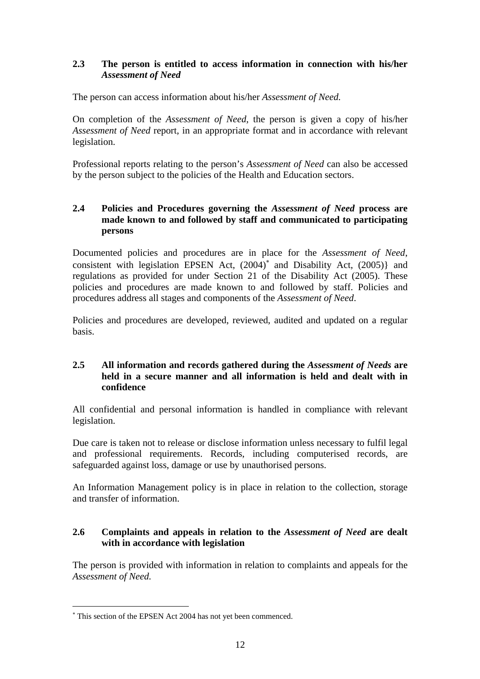### **2.3 The person is entitled to access information in connection with his/her**  *Assessment of Need*

The person can access information about his/her *Assessment of Need.*

On completion of the *Assessment of Need*, the person is given a copy of his/her *Assessment of Need* report, in an appropriate format and in accordance with relevant legislation.

Professional reports relating to the person's *Assessment of Need* can also be accessed by the person subject to the policies of the Health and Education sectors.

### **2.4 Policies and Procedures governing the** *Assessment of Need* **process are made known to and followed by staff and communicated to participating persons**

Documented policies and procedures are in place for the *Assessment of Need*, consistent with legislation EPSEN Act, (2004)[∗](#page-11-0) and Disability Act, (2005)} and regulations as provided for under Section 21 of the Disability Act (2005). These policies and procedures are made known to and followed by staff. Policies and procedures address all stages and components of the *Assessment of Need*.

Policies and procedures are developed, reviewed, audited and updated on a regular basis.

### **2.5 All information and records gathered during the** *Assessment of Needs* **are held in a secure manner and all information is held and dealt with in confidence**

All confidential and personal information is handled in compliance with relevant legislation.

Due care is taken not to release or disclose information unless necessary to fulfil legal and professional requirements. Records, including computerised records, are safeguarded against loss, damage or use by unauthorised persons.

An Information Management policy is in place in relation to the collection, storage and transfer of information.

### **2.6 Complaints and appeals in relation to the** *Assessment of Need* **are dealt with in accordance with legislation**

The person is provided with information in relation to complaints and appeals for the *Assessment of Need.* 

 $\overline{a}$ 

<span id="page-11-0"></span><sup>∗</sup> This section of the EPSEN Act 2004 has not yet been commenced.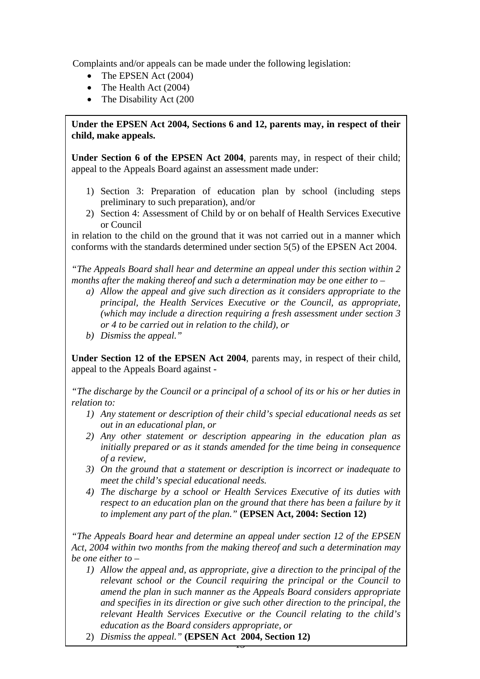Complaints and/or appeals can be made under the following legislation:

- The EPSEN Act (2004)
- The Health Act (2004)
- The Disability Act (200)

Under the EPSEN Act 2004, Sections 6 and 12, parents may, in respect of their **child, make appeals.** 

**Under Section 6 of the EPSEN Act 2004**, parents may, in respect of their child; appeal to the Appeals Board against an assessment made under:

- 1) Section 3: Preparation of education plan by school (including steps preliminary to such preparation), and/or
- 2) Section 4: Assessment of Child by or on behalf of Health Services Executive or Council

in relation to the child on the ground that it was not carried out in a manner which conforms with the standards determined under section 5(5) of the EPSEN Act 2004.

*"The Appeals Board shall hear and determine an appeal under this section within 2 months after the making thereof and such a determination may be one either to –* 

- *a) Allow the appeal and give such direction as it considers appropriate to the principal, the Health Services Executive or the Council, as appropriate, (which may include a direction requiring a fresh assessment under section 3 or 4 to be carried out in relation to the child), or*
- *b) Dismiss the appeal."*

**Under Section 12 of the EPSEN Act 2004**, parents may, in respect of their child, appeal to the Appeals Board against -

*"The discharge by the Council or a principal of a school of its or his or her duties in relation to:* 

- *1) Any statement or description of their child's special educational needs as set out in an educational plan, or*
- *2) Any other statement or description appearing in the education plan as initially prepared or as it stands amended for the time being in consequence of a review,*
- *3) On the ground that a statement or description is incorrect or inadequate to meet the child's special educational needs.*
- *4) The discharge by a school or Health Services Executive of its duties with respect to an education plan on the ground that there has been a failure by it to implement any part of the plan."* **(EPSEN Act, 2004: Section 12)**

*"The Appeals Board hear and determine an appeal under section 12 of the EPSEN Act, 2004 within two months from the making thereof and such a determination may be one either to –* 

- *1) Allow the appeal and, as appropriate, give a direction to the principal of the relevant school or the Council requiring the principal or the Council to amend the plan in such manner as the Appeals Board considers appropriate and specifies in its direction or give such other direction to the principal, the relevant Health Services Executive or the Council relating to the child's education as the Board considers appropriate, or*
- 2) *Dismiss the appeal."* **(EPSEN Act 2004, Section 12)**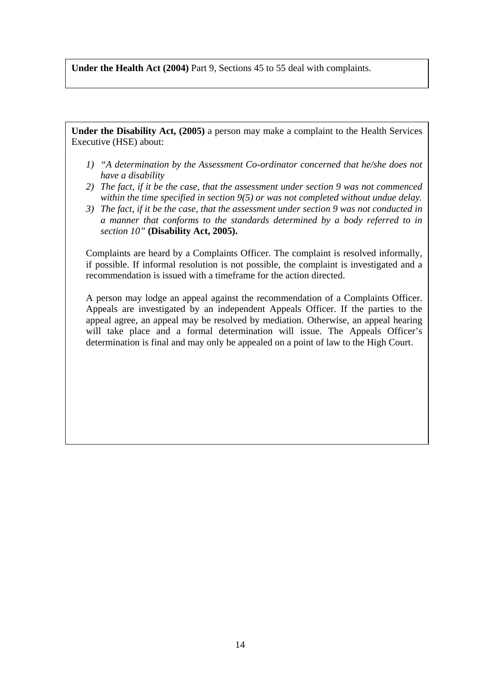**Under the Health Act (2004)** Part 9, Sections 45 to 55 deal with complaints.

**Under the Disability Act, (2005)** a person may make a complaint to the Health Services Executive (HSE) about:

- *1) "A determination by the Assessment Co-ordinator concerned that he/she does not have a disability*
- *2) The fact, if it be the case, that the assessment under section 9 was not commenced within the time specified in section 9(5) or was not completed without undue delay.*
- *3) The fact, if it be the case, that the assessment under section 9 was not conducted in a manner that conforms to the standards determined by a body referred to in section 10"* **(Disability Act, 2005).**

Complaints are heard by a Complaints Officer. The complaint is resolved informally, if possible. If informal resolution is not possible, the complaint is investigated and a recommendation is issued with a timeframe for the action directed.

A person may lodge an appeal against the recommendation of a Complaints Officer. Appeals are investigated by an independent Appeals Officer. If the parties to the appeal agree, an appeal may be resolved by mediation. Otherwise, an appeal hearing will take place and a formal determination will issue. The Appeals Officer's determination is final and may only be appealed on a point of law to the High Court.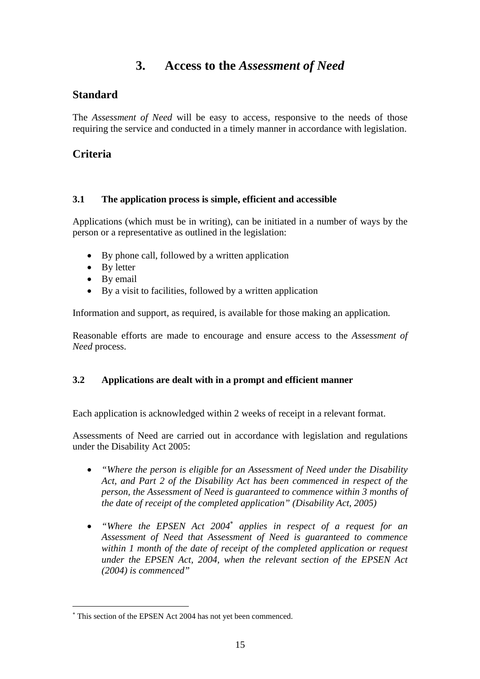# **3. Access to the** *Assessment of Need*

### **Standard**

The *Assessment of Need* will be easy to access, responsive to the needs of those requiring the service and conducted in a timely manner in accordance with legislation.

### **Criteria**

### **3.1 The application process is simple, efficient and accessible**

Applications (which must be in writing), can be initiated in a number of ways by the person or a representative as outlined in the legislation:

- By phone call, followed by a written application
- By letter
- By email

 $\overline{a}$ 

• By a visit to facilities, followed by a written application

Information and support, as required, is available for those making an application*.*

Reasonable efforts are made to encourage and ensure access to the *Assessment of Need* process.

### **3.2 Applications are dealt with in a prompt and efficient manner**

Each application is acknowledged within 2 weeks of receipt in a relevant format.

Assessments of Need are carried out in accordance with legislation and regulations under the Disability Act 2005:

- *"Where the person is eligible for an Assessment of Need under the Disability Act, and Part 2 of the Disability Act has been commenced in respect of the person, the Assessment of Need is guaranteed to commence within 3 months of the date of receipt of the completed application" (Disability Act, 2005)*
- "Where the EPSEN Act 2004<sup>\*</sup> applies in respect of a request for an *Assessment of Need that Assessment of Need is guaranteed to commence within 1 month of the date of receipt of the completed application or request under the EPSEN Act, 2004, when the relevant section of the EPSEN Act (2004) is commenced"*

<span id="page-14-0"></span><sup>∗</sup> This section of the EPSEN Act 2004 has not yet been commenced.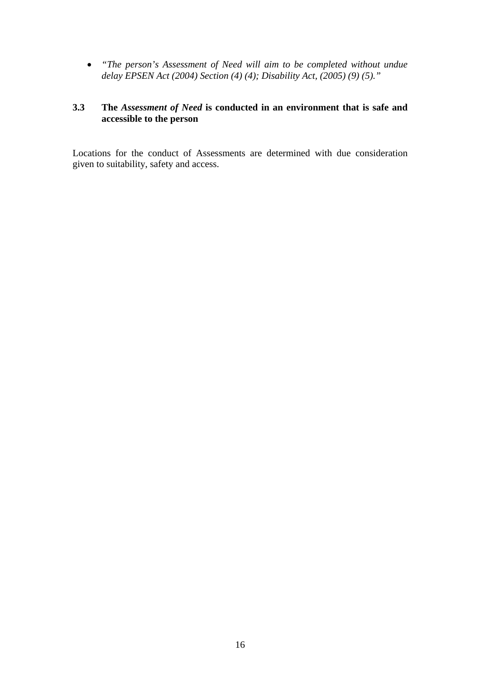• *"The person's Assessment of Need will aim to be completed without undue delay EPSEN Act (2004) Section (4) (4); Disability Act, (2005) (9) (5)."* 

### **3.3 The** *Assessment of Need* **is conducted in an environment that is safe and accessible to the person**

Locations for the conduct of Assessments are determined with due consideration given to suitability, safety and access.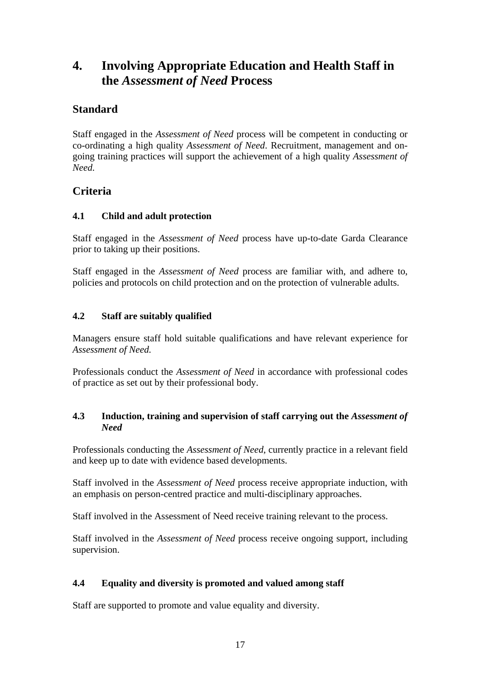# **4. Involving Appropriate Education and Health Staff in the** *Assessment of Need* **Process**

## **Standard**

Staff engaged in the *Assessment of Need* process will be competent in conducting or co-ordinating a high quality *Assessment of Need*. Recruitment, management and ongoing training practices will support the achievement of a high quality *Assessment of Need.*

### **Criteria**

### **4.1 Child and adult protection**

Staff engaged in the *Assessment of Need* process have up-to-date Garda Clearance prior to taking up their positions.

Staff engaged in the *Assessment of Need* process are familiar with, and adhere to, policies and protocols on child protection and on the protection of vulnerable adults.

### **4.2 Staff are suitably qualified**

Managers ensure staff hold suitable qualifications and have relevant experience for *Assessment of Need.* 

Professionals conduct the *Assessment of Need* in accordance with professional codes of practice as set out by their professional body.

### **4.3 Induction, training and supervision of staff carrying out the** *Assessment of Need*

Professionals conducting the *Assessment of Need*, currently practice in a relevant field and keep up to date with evidence based developments.

Staff involved in the *Assessment of Need* process receive appropriate induction, with an emphasis on person-centred practice and multi-disciplinary approaches.

Staff involved in the Assessment of Need receive training relevant to the process.

Staff involved in the *Assessment of Need* process receive ongoing support, including supervision.

### **4.4 Equality and diversity is promoted and valued among staff**

Staff are supported to promote and value equality and diversity.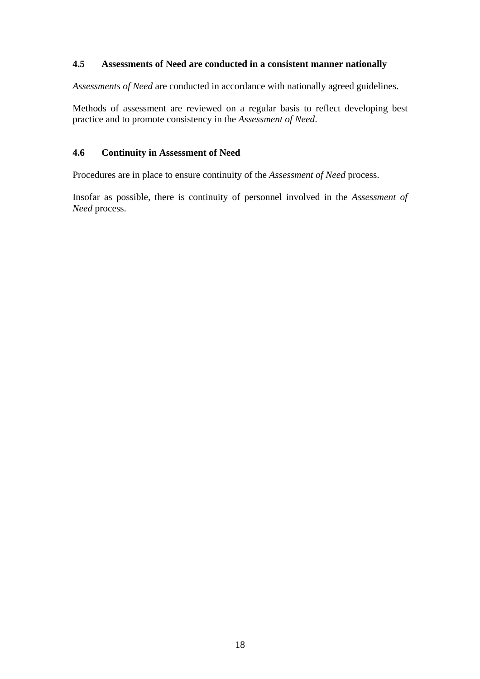### **4.5 Assessments of Need are conducted in a consistent manner nationally**

*Assessments of Need* are conducted in accordance with nationally agreed guidelines.

Methods of assessment are reviewed on a regular basis to reflect developing best practice and to promote consistency in the *Assessment of Need*.

### **4.6 Continuity in Assessment of Need**

Procedures are in place to ensure continuity of the *Assessment of Need* process.

Insofar as possible, there is continuity of personnel involved in the *Assessment of Need* process.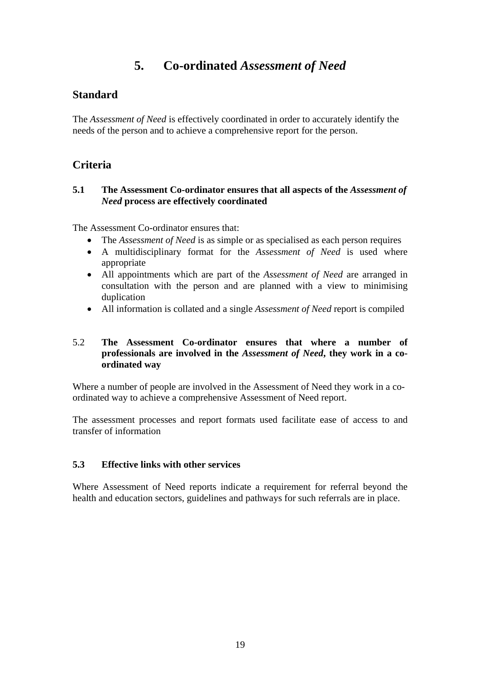# **5. Co-ordinated** *Assessment of Need*

### **Standard**

The *Assessment of Need* is effectively coordinated in order to accurately identify the needs of the person and to achieve a comprehensive report for the person.

### **Criteria**

### **5.1 The Assessment Co-ordinator ensures that all aspects of the** *Assessment of Need* **process are effectively coordinated**

The Assessment Co-ordinator ensures that:

- The *Assessment of Need* is as simple or as specialised as each person requires
- A multidisciplinary format for the *Assessment of Need* is used where appropriate
- All appointments which are part of the *Assessment of Need* are arranged in consultation with the person and are planned with a view to minimising duplication
- All information is collated and a single *Assessment of Need* report is compiled

### 5.2 **The Assessment Co-ordinator ensures that where a number of professionals are involved in the** *Assessment of Need***, they work in a coordinated way**

Where a number of people are involved in the Assessment of Need they work in a coordinated way to achieve a comprehensive Assessment of Need report.

The assessment processes and report formats used facilitate ease of access to and transfer of information

### **5.3 Effective links with other services**

Where Assessment of Need reports indicate a requirement for referral beyond the health and education sectors, guidelines and pathways for such referrals are in place.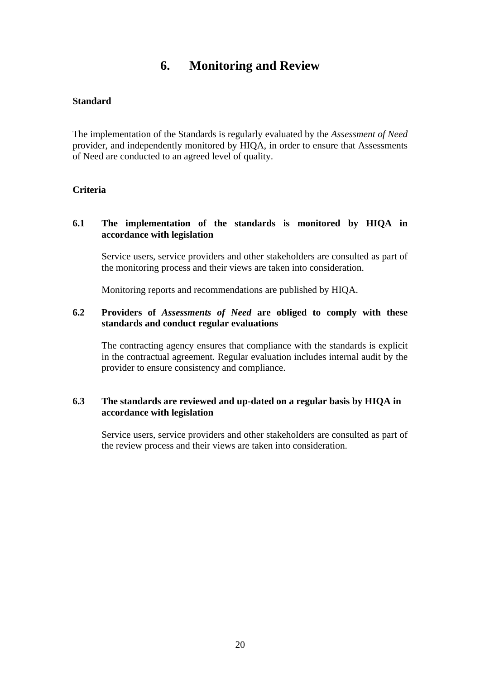# **6. Monitoring and Review**

### **Standard**

The implementation of the Standards is regularly evaluated by the *Assessment of Need* provider, and independently monitored by HIQA, in order to ensure that Assessments of Need are conducted to an agreed level of quality.

### **Criteria**

### **6.1 The implementation of the standards is monitored by HIQA in accordance with legislation**

Service users, service providers and other stakeholders are consulted as part of the monitoring process and their views are taken into consideration.

Monitoring reports and recommendations are published by HIQA.

### **6.2 Providers of** *Assessments of Need* **are obliged to comply with these standards and conduct regular evaluations**

The contracting agency ensures that compliance with the standards is explicit in the contractual agreement. Regular evaluation includes internal audit by the provider to ensure consistency and compliance.

### **6.3 The standards are reviewed and up-dated on a regular basis by HIQA in accordance with legislation**

Service users, service providers and other stakeholders are consulted as part of the review process and their views are taken into consideration.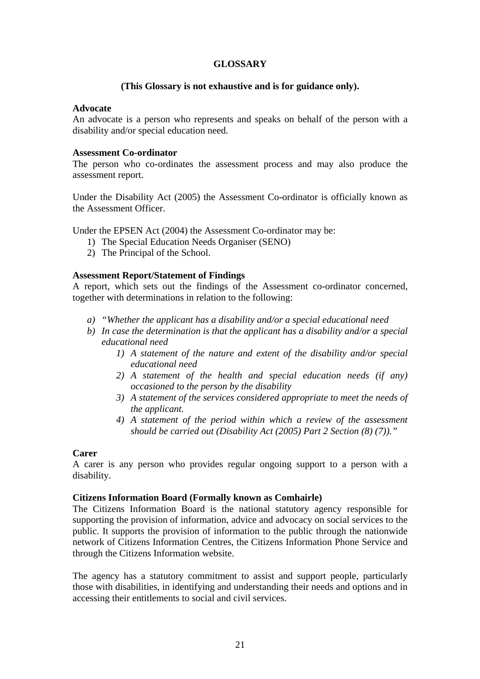### **GLOSSARY**

### **(This Glossary is not exhaustive and is for guidance only).**

### **Advocate**

An advocate is a person who represents and speaks on behalf of the person with a disability and/or special education need.

### **Assessment Co-ordinator**

The person who co-ordinates the assessment process and may also produce the assessment report.

Under the Disability Act (2005) the Assessment Co-ordinator is officially known as the Assessment Officer.

Under the EPSEN Act (2004) the Assessment Co-ordinator may be:

- 1) The Special Education Needs Organiser (SENO)
- 2) The Principal of the School.

### **Assessment Report/Statement of Findings**

A report, which sets out the findings of the Assessment co-ordinator concerned, together with determinations in relation to the following:

- *a) "Whether the applicant has a disability and/or a special educational need*
- *b) In case the determination is that the applicant has a disability and/or a special educational need* 
	- *1) A statement of the nature and extent of the disability and/or special educational need*
	- *2) A statement of the health and special education needs (if any) occasioned to the person by the disability*
	- *3) A statement of the services considered appropriate to meet the needs of the applicant.*
	- *4) A statement of the period within which a review of the assessment should be carried out (Disability Act (2005) Part 2 Section (8) (7))."*

### **Carer**

A carer is any person who provides regular ongoing support to a person with a disability.

### **Citizens Information Board (Formally known as Comhairle)**

The Citizens Information Board is the national statutory agency responsible for supporting the provision of information, advice and advocacy on social services to the public. It supports the provision of information to the public through the nationwide network of Citizens Information Centres, the Citizens Information Phone Service and through the Citizens Information website.

The agency has a statutory commitment to assist and support people, particularly those with disabilities, in identifying and understanding their needs and options and in accessing their entitlements to social and civil services.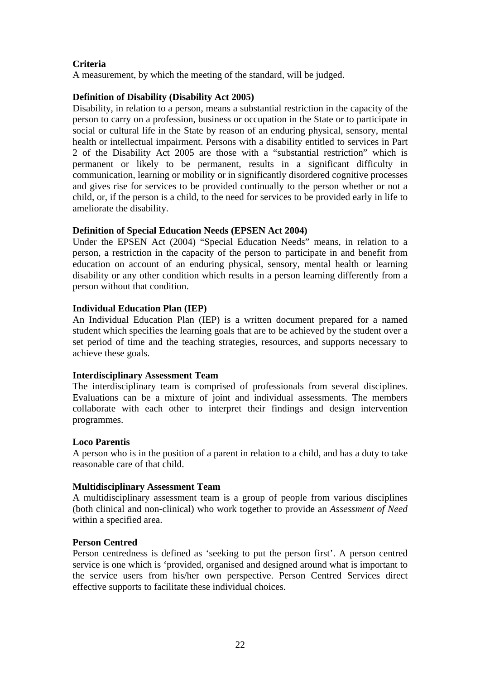### **Criteria**

A measurement, by which the meeting of the standard, will be judged.

### **Definition of Disability (Disability Act 2005)**

Disability, in relation to a person, means a substantial restriction in the capacity of the person to carry on a profession, business or occupation in the State or to participate in social or cultural life in the State by reason of an enduring physical, sensory, mental health or intellectual impairment. Persons with a disability entitled to services in Part 2 of the Disability Act 2005 are those with a "substantial restriction" which is permanent or likely to be permanent, results in a significant difficulty in communication, learning or mobility or in significantly disordered cognitive processes and gives rise for services to be provided continually to the person whether or not a child, or, if the person is a child, to the need for services to be provided early in life to ameliorate the disability.

### **Definition of Special Education Needs (EPSEN Act 2004)**

Under the EPSEN Act (2004) "Special Education Needs" means, in relation to a person, a restriction in the capacity of the person to participate in and benefit from education on account of an enduring physical, sensory, mental health or learning disability or any other condition which results in a person learning differently from a person without that condition.

### **Individual Education Plan (IEP)**

An Individual Education Plan (IEP) is a written document prepared for a named student which specifies the learning goals that are to be achieved by the student over a set period of time and the teaching strategies, resources, and supports necessary to achieve these goals.

### **Interdisciplinary Assessment Team**

The interdisciplinary team is comprised of professionals from several disciplines. Evaluations can be a mixture of joint and individual assessments. The members collaborate with each other to interpret their findings and design intervention programmes.

### **Loco Parentis**

A person who is in the position of a parent in relation to a child, and has a duty to take reasonable care of that child.

### **Multidisciplinary Assessment Team**

A multidisciplinary assessment team is a group of people from various disciplines (both clinical and non-clinical) who work together to provide an *Assessment of Need* within a specified area.

### **Person Centred**

Person centredness is defined as 'seeking to put the person first'. A person centred service is one which is 'provided, organised and designed around what is important to the service users from his/her own perspective. Person Centred Services direct effective supports to facilitate these individual choices.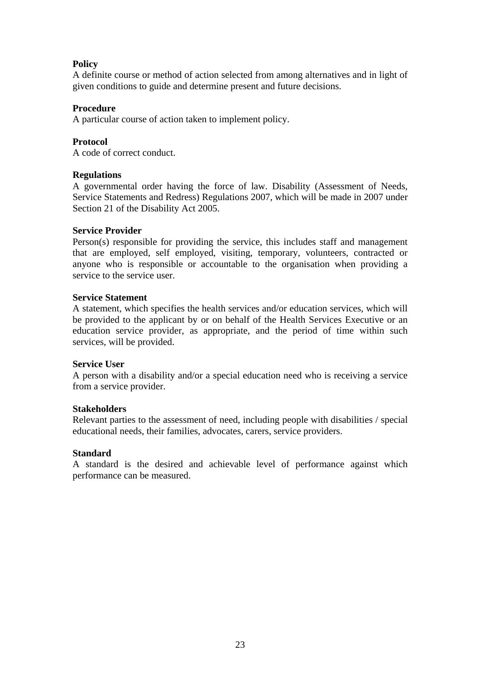### **Policy**

A definite course or method of action selected from among alternatives and in light of given conditions to guide and determine present and future decisions.

### **Procedure**

A particular course of action taken to implement policy.

### **Protocol**

A code of correct conduct.

### **Regulations**

A governmental order having the force of law. Disability (Assessment of Needs, Service Statements and Redress) Regulations 2007, which will be made in 2007 under Section 21 of the Disability Act 2005.

### **Service Provider**

Person(s) responsible for providing the service, this includes staff and management that are employed, self employed, visiting, temporary, volunteers, contracted or anyone who is responsible or accountable to the organisation when providing a service to the service user.

### **Service Statement**

A statement, which specifies the health services and/or education services, which will be provided to the applicant by or on behalf of the Health Services Executive or an education service provider, as appropriate, and the period of time within such services, will be provided.

### **Service User**

A person with a disability and/or a special education need who is receiving a service from a service provider.

### **Stakeholders**

Relevant parties to the assessment of need, including people with disabilities / special educational needs, their families, advocates, carers, service providers.

### **Standard**

A standard is the desired and achievable level of performance against which performance can be measured.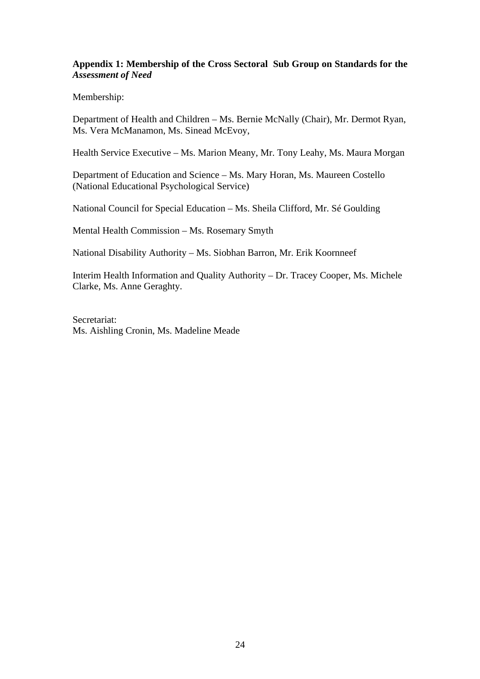### **Appendix 1: Membership of the Cross Sectoral Sub Group on Standards for the** *Assessment of Need*

Membership:

Department of Health and Children – Ms. Bernie McNally (Chair), Mr. Dermot Ryan, Ms. Vera McManamon, Ms. Sinead McEvoy,

Health Service Executive – Ms. Marion Meany, Mr. Tony Leahy, Ms. Maura Morgan

Department of Education and Science – Ms. Mary Horan, Ms. Maureen Costello (National Educational Psychological Service)

National Council for Special Education – Ms. Sheila Clifford, Mr. Sé Goulding

Mental Health Commission – Ms. Rosemary Smyth

National Disability Authority – Ms. Siobhan Barron, Mr. Erik Koornneef

Interim Health Information and Quality Authority – Dr. Tracey Cooper, Ms. Michele Clarke, Ms. Anne Geraghty.

Secretariat: Ms. Aishling Cronin, Ms. Madeline Meade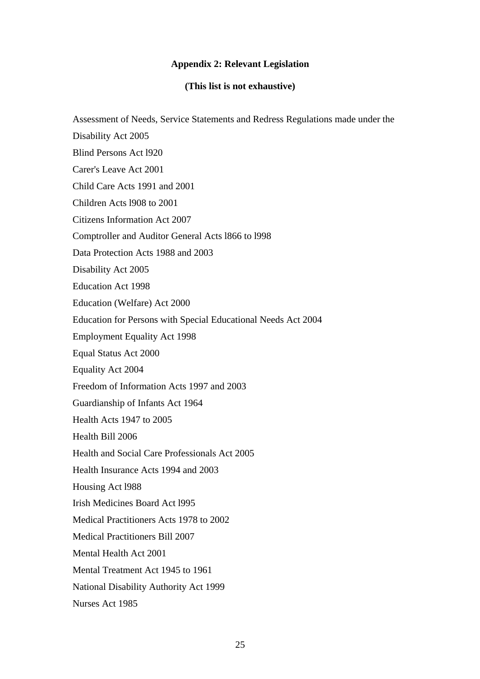# **Appendix 2: Relevant Legislation**

### **(This list is not exhaustive)**

| Assessment of Needs, Service Statements and Redress Regulations made under the |
|--------------------------------------------------------------------------------|
| Disability Act 2005                                                            |
| <b>Blind Persons Act 1920</b>                                                  |
| Carer's Leave Act 2001                                                         |
| Child Care Acts 1991 and 2001                                                  |
| Children Acts 1908 to 2001                                                     |
| <b>Citizens Information Act 2007</b>                                           |
| Comptroller and Auditor General Acts 1866 to 1998                              |
| Data Protection Acts 1988 and 2003                                             |
| Disability Act 2005                                                            |
| <b>Education Act 1998</b>                                                      |
| Education (Welfare) Act 2000                                                   |
| Education for Persons with Special Educational Needs Act 2004                  |
| <b>Employment Equality Act 1998</b>                                            |
| Equal Status Act 2000                                                          |
| Equality Act 2004                                                              |
| Freedom of Information Acts 1997 and 2003                                      |
| Guardianship of Infants Act 1964                                               |
| Health Acts 1947 to 2005                                                       |
| Health Bill 2006                                                               |
| Health and Social Care Professionals Act 2005                                  |
| Health Insurance Acts 1994 and 2003                                            |
| Housing Act 1988                                                               |
| <b>Irish Medicines Board Act 1995</b>                                          |
| Medical Practitioners Acts 1978 to 2002                                        |
| <b>Medical Practitioners Bill 2007</b>                                         |
| Mental Health Act 2001                                                         |
| Mental Treatment Act 1945 to 1961                                              |
| National Disability Authority Act 1999                                         |
| Nurses Act 1985                                                                |